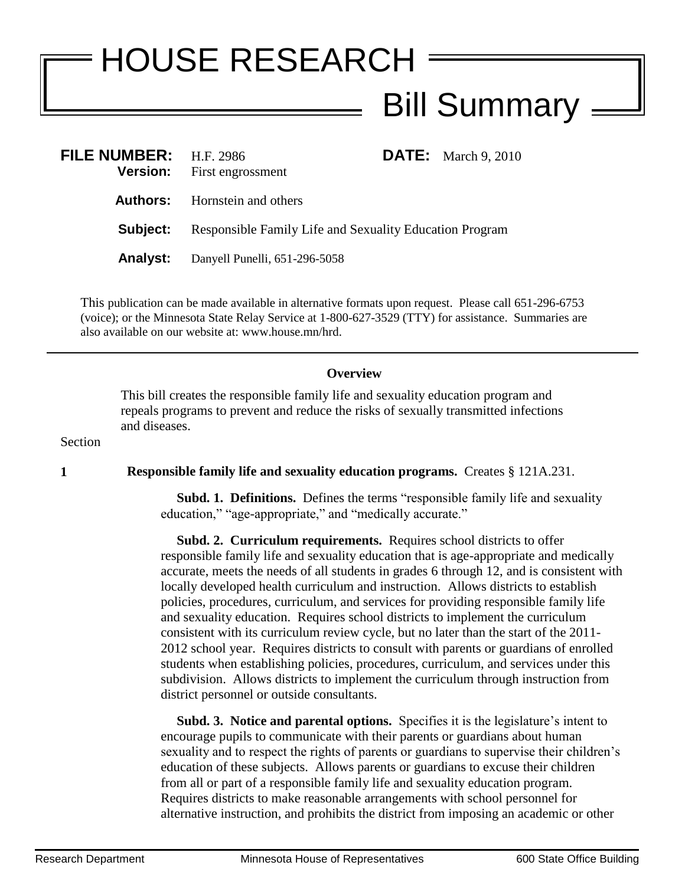## HOUSE RESEARCH Bill Summary

| <b>FILE NUMBER:</b> H.F. 2986 | <b>Version:</b> First engrossment                       |  | <b>DATE:</b> March 9, 2010 |
|-------------------------------|---------------------------------------------------------|--|----------------------------|
|                               | <b>Authors:</b> Hornstein and others                    |  |                            |
| Subject:                      | Responsible Family Life and Sexuality Education Program |  |                            |
| <b>Analyst:</b>               | Danyell Punelli, 651-296-5058                           |  |                            |

This publication can be made available in alternative formats upon request. Please call 651-296-6753 (voice); or the Minnesota State Relay Service at 1-800-627-3529 (TTY) for assistance. Summaries are also available on our website at: www.house.mn/hrd.

## **Overview**

This bill creates the responsible family life and sexuality education program and repeals programs to prevent and reduce the risks of sexually transmitted infections and diseases.

Section

**1 Responsible family life and sexuality education programs.** Creates § 121A.231.

 **Subd. 1. Definitions.** Defines the terms "responsible family life and sexuality education," "age-appropriate," and "medically accurate."

 **Subd. 2. Curriculum requirements.** Requires school districts to offer responsible family life and sexuality education that is age-appropriate and medically accurate, meets the needs of all students in grades 6 through 12, and is consistent with locally developed health curriculum and instruction. Allows districts to establish policies, procedures, curriculum, and services for providing responsible family life and sexuality education. Requires school districts to implement the curriculum consistent with its curriculum review cycle, but no later than the start of the 2011- 2012 school year. Requires districts to consult with parents or guardians of enrolled students when establishing policies, procedures, curriculum, and services under this subdivision. Allows districts to implement the curriculum through instruction from district personnel or outside consultants.

 **Subd. 3. Notice and parental options.** Specifies it is the legislature's intent to encourage pupils to communicate with their parents or guardians about human sexuality and to respect the rights of parents or guardians to supervise their children's education of these subjects. Allows parents or guardians to excuse their children from all or part of a responsible family life and sexuality education program. Requires districts to make reasonable arrangements with school personnel for alternative instruction, and prohibits the district from imposing an academic or other